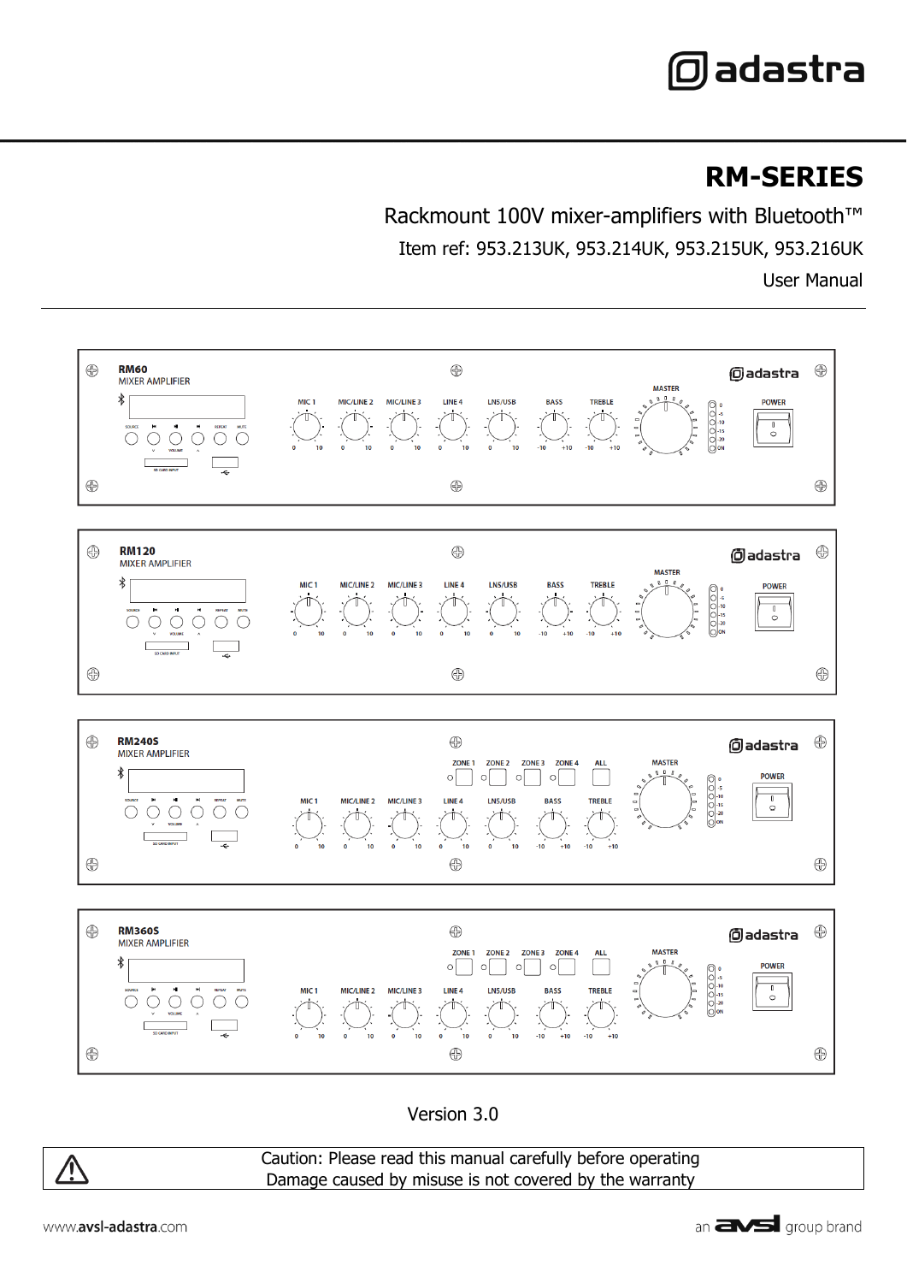# **@adastra**

## **RM-SERIES**

Rackmount 100V mixer-amplifiers with Bluetooth™ Item ref: 953.213UK, 953.214UK, 953.215UK, 953.216UK User Manual



Version 3.0



Caution: Please read this manual carefully before operating Damage caused by misuse is not covered by the warranty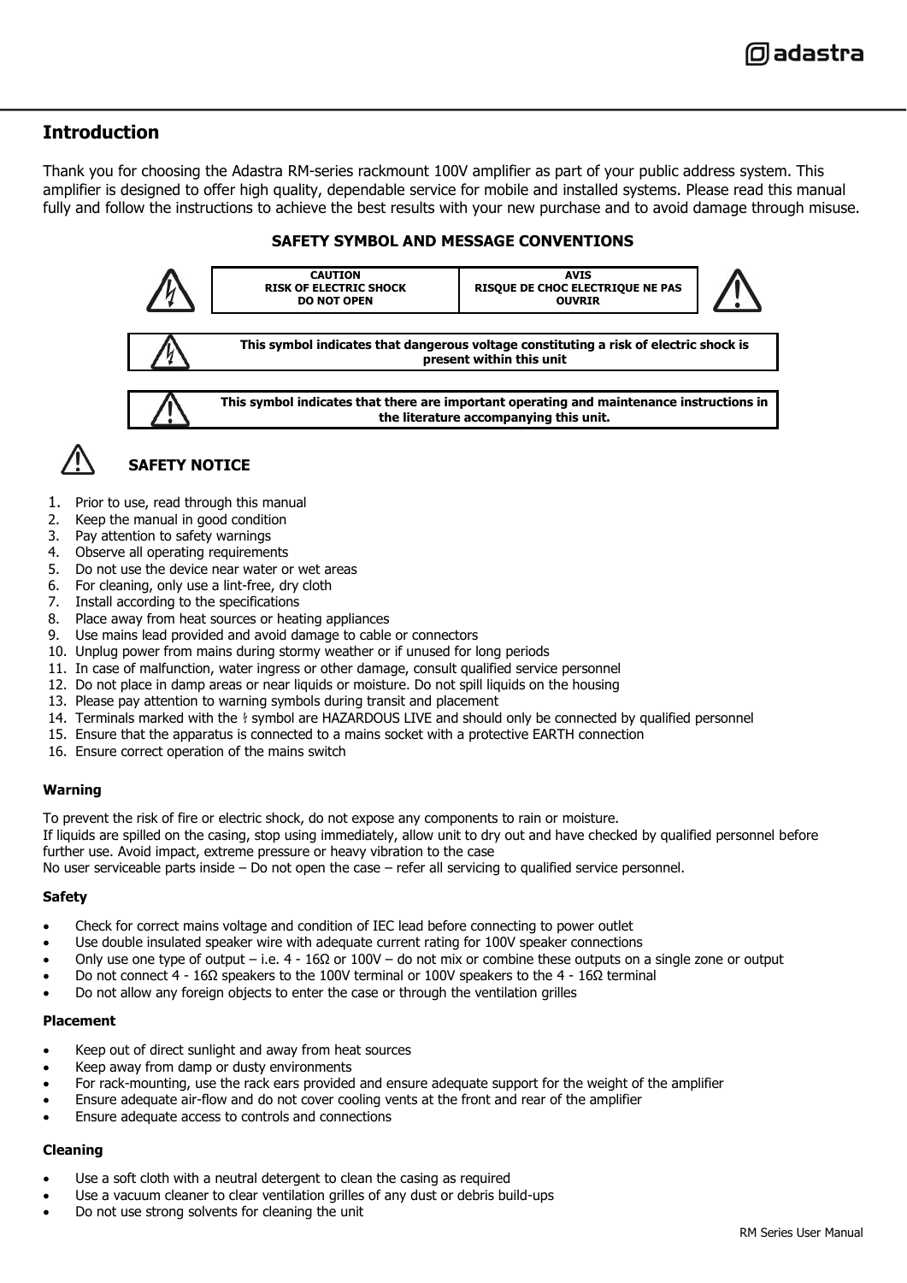#### **Introduction**

Thank you for choosing the Adastra RM-series rackmount 100V amplifier as part of your public address system. This amplifier is designed to offer high quality, dependable service for mobile and installed systems. Please read this manual fully and follow the instructions to achieve the best results with your new purchase and to avoid damage through misuse.

#### **SAFETY SYMBOL AND MESSAGE CONVENTIONS**



- 1. Prior to use, read through this manual
- 2. Keep the manual in good condition
- 3. Pay attention to safety warnings
- 4. Observe all operating requirements
- 5. Do not use the device near water or wet areas
- 6. For cleaning, only use a lint-free, dry cloth
- 7. Install according to the specifications
- 8. Place away from heat sources or heating appliances
- 9. Use mains lead provided and avoid damage to cable or connectors
- 10. Unplug power from mains during stormy weather or if unused for long periods
- 11. In case of malfunction, water ingress or other damage, consult qualified service personnel
- 12. Do not place in damp areas or near liquids or moisture. Do not spill liquids on the housing
- 13. Please pay attention to warning symbols during transit and placement
- 14. Terminals marked with the  $\frac{1}{2}$  symbol are HAZARDOUS LIVE and should only be connected by qualified personnel
- 15. Ensure that the apparatus is connected to a mains socket with a protective EARTH connection
- 16. Ensure correct operation of the mains switch

#### **Warning**

To prevent the risk of fire or electric shock, do not expose any components to rain or moisture.

If liquids are spilled on the casing, stop using immediately, allow unit to dry out and have checked by qualified personnel before further use. Avoid impact, extreme pressure or heavy vibration to the case

No user serviceable parts inside – Do not open the case – refer all servicing to qualified service personnel.

#### **Safety**

- Check for correct mains voltage and condition of IEC lead before connecting to power outlet
- Use double insulated speaker wire with adequate current rating for 100V speaker connections
- Only use one type of output i.e. 4 16Ω or 100V do not mix or combine these outputs on a single zone or output
- Do not connect 4 16Ω speakers to the 100V terminal or 100V speakers to the 4 16Ω terminal
- Do not allow any foreign objects to enter the case or through the ventilation grilles

#### **Placement**

- Keep out of direct sunlight and away from heat sources
- Keep away from damp or dusty environments
- For rack-mounting, use the rack ears provided and ensure adequate support for the weight of the amplifier
- Ensure adequate air-flow and do not cover cooling vents at the front and rear of the amplifier
- Ensure adequate access to controls and connections

#### **Cleaning**

- Use a soft cloth with a neutral detergent to clean the casing as required
- Use a vacuum cleaner to clear ventilation grilles of any dust or debris build-ups
- Do not use strong solvents for cleaning the unit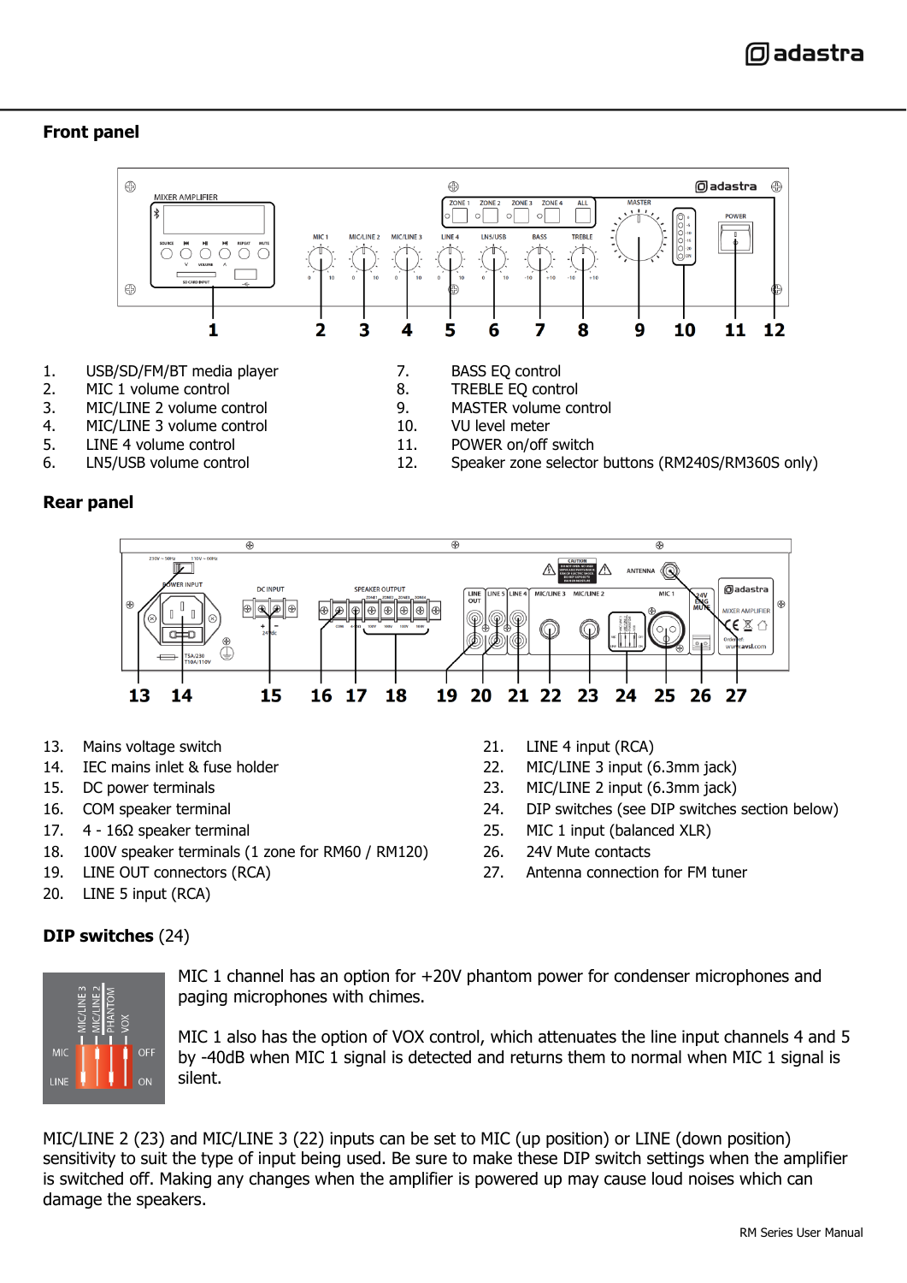#### **Front panel**



- 
- 
- 4. MIC/LINE 3 volume control<br>5. LINE 4 volume control
- LINE 4 volume control and the state of the 11. POWER on/off switch and the LN5/USB volume control and the set o<br>12. Speaker zone selector
- 
- -
- 6. LN5/USB volume control 12. Speaker zone selector buttons (RM240S/RM360S only)

#### **Rear panel**



- 13. Mains voltage switch 21. LINE 4 input (RCA)
- 14. IEC mains inlet & fuse holder 22. MIC/LINE 3 input (6.3mm jack)
- 
- 
- 
- 18. 100V speaker terminals (1 zone for RM60 / RM120) 26. 24V Mute contacts
- 
- 20. LINE 5 input (RCA)

- 15. DC power terminals 23. MIC/LINE 2 input (6.3mm jack)
- 16. COM speaker terminal 24. DIP switches (see DIP switches section below)
- 17. 4 16Ω speaker terminal 25. MIC 1 input (balanced XLR)
	-
- 19. LINE OUT connectors (RCA) 27. Antenna connection for FM tuner

### **DIP switches** (24)



MIC 1 channel has an option for +20V phantom power for condenser microphones and paging microphones with chimes.

MIC 1 also has the option of VOX control, which attenuates the line input channels 4 and 5 by -40dB when MIC 1 signal is detected and returns them to normal when MIC 1 signal is silent.

MIC/LINE 2 (23) and MIC/LINE 3 (22) inputs can be set to MIC (up position) or LINE (down position) sensitivity to suit the type of input being used. Be sure to make these DIP switch settings when the amplifier is switched off. Making any changes when the amplifier is powered up may cause loud noises which can damage the speakers.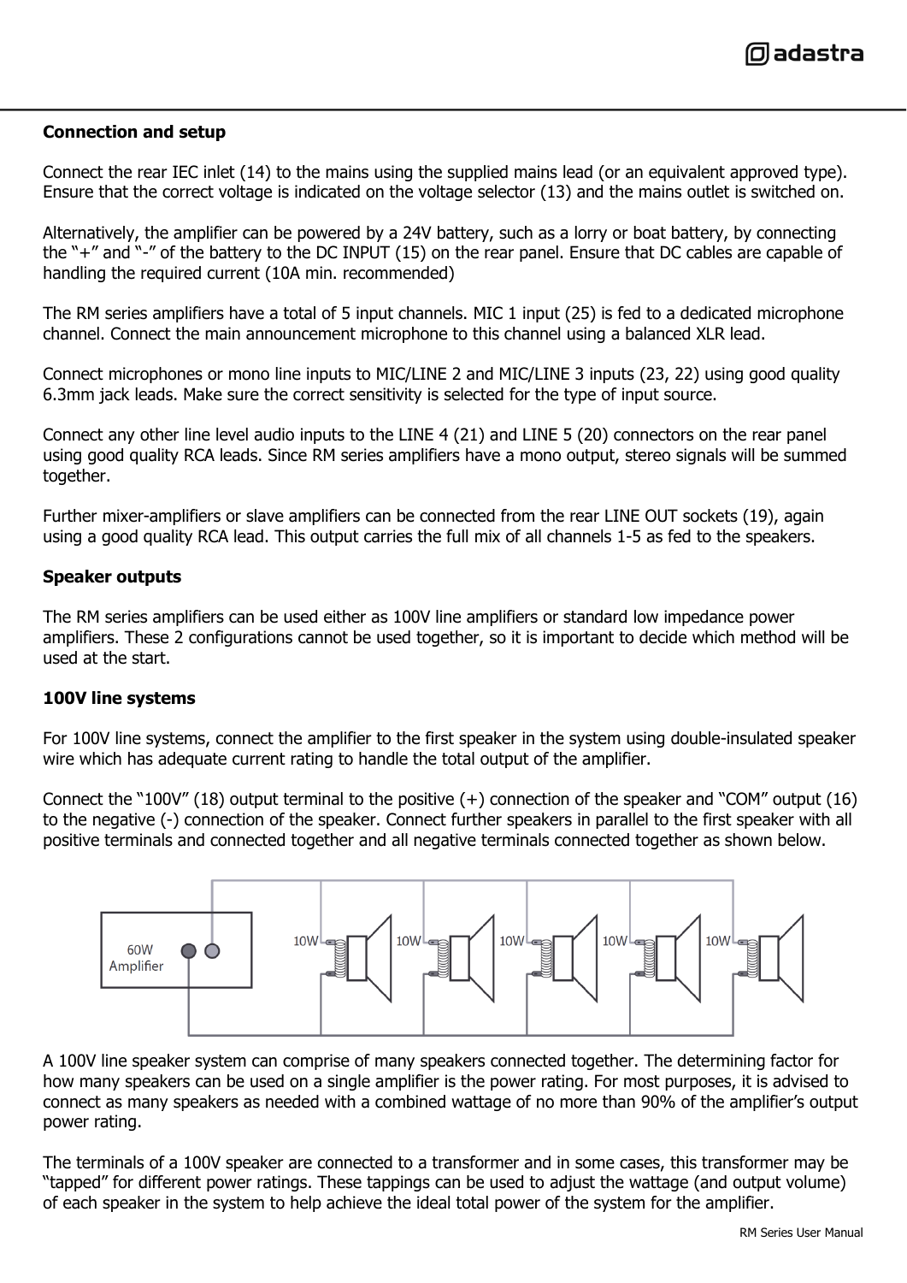

#### **Connection and setup**

Connect the rear IEC inlet (14) to the mains using the supplied mains lead (or an equivalent approved type). Ensure that the correct voltage is indicated on the voltage selector (13) and the mains outlet is switched on.

Alternatively, the amplifier can be powered by a 24V battery, such as a lorry or boat battery, by connecting the "+" and "-" of the battery to the DC INPUT (15) on the rear panel. Ensure that DC cables are capable of handling the required current (10A min. recommended)

The RM series amplifiers have a total of 5 input channels. MIC 1 input (25) is fed to a dedicated microphone channel. Connect the main announcement microphone to this channel using a balanced XLR lead.

Connect microphones or mono line inputs to MIC/LINE 2 and MIC/LINE 3 inputs (23, 22) using good quality 6.3mm jack leads. Make sure the correct sensitivity is selected for the type of input source.

Connect any other line level audio inputs to the LINE 4 (21) and LINE 5 (20) connectors on the rear panel using good quality RCA leads. Since RM series amplifiers have a mono output, stereo signals will be summed together.

Further mixer-amplifiers or slave amplifiers can be connected from the rear LINE OUT sockets (19), again using a good quality RCA lead. This output carries the full mix of all channels 1-5 as fed to the speakers.

#### **Speaker outputs**

The RM series amplifiers can be used either as 100V line amplifiers or standard low impedance power amplifiers. These 2 configurations cannot be used together, so it is important to decide which method will be used at the start.

#### **100V line systems**

For 100V line systems, connect the amplifier to the first speaker in the system using double-insulated speaker wire which has adequate current rating to handle the total output of the amplifier.

Connect the "100V" (18) output terminal to the positive (+) connection of the speaker and "COM" output (16) to the negative (-) connection of the speaker. Connect further speakers in parallel to the first speaker with all positive terminals and connected together and all negative terminals connected together as shown below.



A 100V line speaker system can comprise of many speakers connected together. The determining factor for how many speakers can be used on a single amplifier is the power rating. For most purposes, it is advised to connect as many speakers as needed with a combined wattage of no more than 90% of the amplifier's output power rating.

The terminals of a 100V speaker are connected to a transformer and in some cases, this transformer may be "tapped" for different power ratings. These tappings can be used to adjust the wattage (and output volume) of each speaker in the system to help achieve the ideal total power of the system for the amplifier.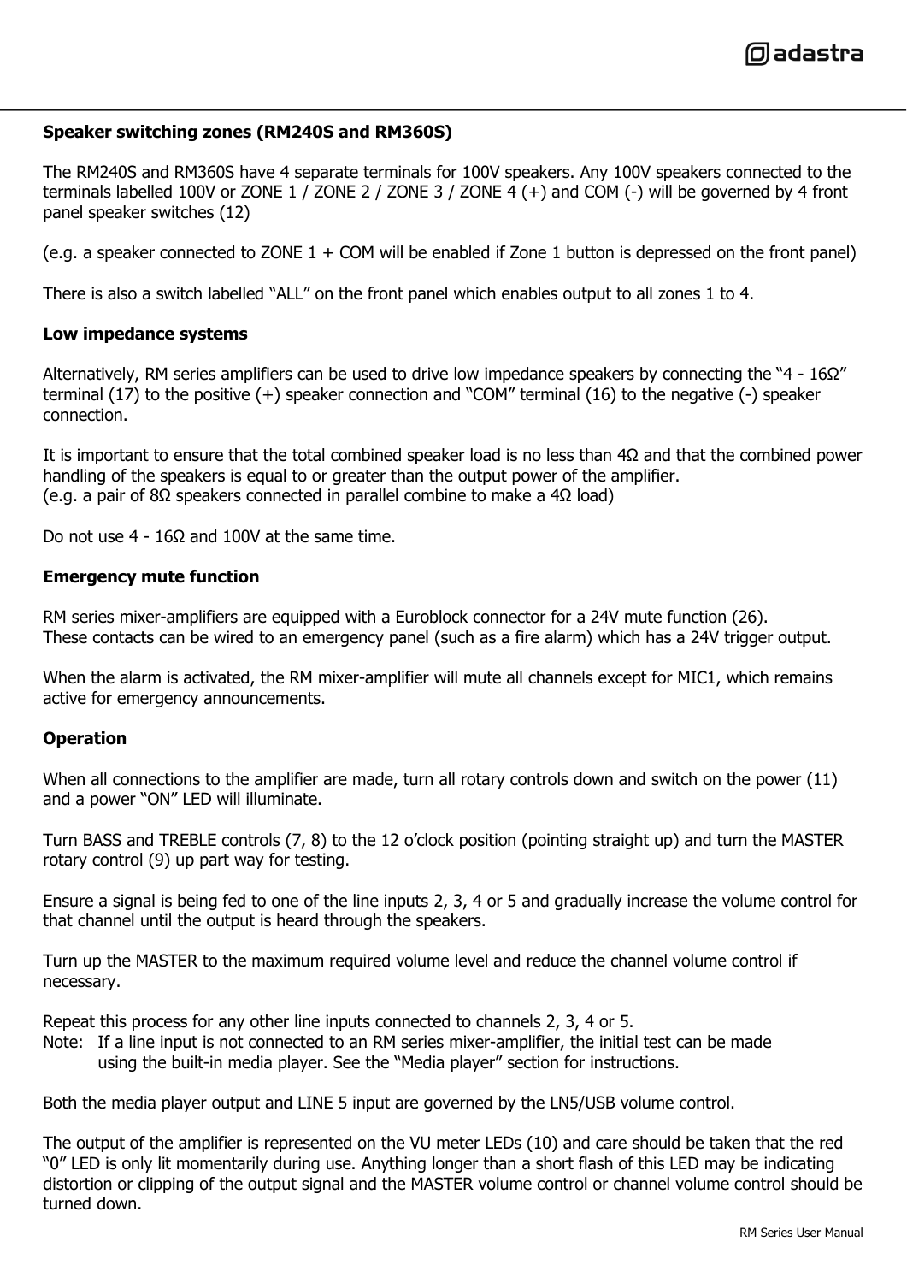0) adastra

#### **Speaker switching zones (RM240S and RM360S)**

The RM240S and RM360S have 4 separate terminals for 100V speakers. Any 100V speakers connected to the terminals labelled 100V or ZONE 1 / ZONE 2 / ZONE 3 / ZONE 4  $(+)$  and COM  $(-)$  will be governed by 4 front panel speaker switches (12)

(e.g. a speaker connected to ZONE  $1 + COM$  will be enabled if Zone 1 button is depressed on the front panel)

There is also a switch labelled "ALL" on the front panel which enables output to all zones 1 to 4.

#### **Low impedance systems**

Alternatively, RM series amplifiers can be used to drive low impedance speakers by connecting the "4 - 16Ω" terminal (17) to the positive (+) speaker connection and "COM" terminal (16) to the negative (-) speaker connection.

It is important to ensure that the total combined speaker load is no less than 4Ω and that the combined power handling of the speakers is equal to or greater than the output power of the amplifier. (e.g. a pair of 8Ω speakers connected in parallel combine to make a 4Ω load)

Do not use  $4 - 16Ω$  and  $100V$  at the same time.

#### **Emergency mute function**

RM series mixer-amplifiers are equipped with a Euroblock connector for a 24V mute function (26). These contacts can be wired to an emergency panel (such as a fire alarm) which has a 24V trigger output.

When the alarm is activated, the RM mixer-amplifier will mute all channels except for MIC1, which remains active for emergency announcements.

#### **Operation**

When all connections to the amplifier are made, turn all rotary controls down and switch on the power (11) and a power "ON" LED will illuminate.

Turn BASS and TREBLE controls (7, 8) to the 12 o'clock position (pointing straight up) and turn the MASTER rotary control (9) up part way for testing.

Ensure a signal is being fed to one of the line inputs 2, 3, 4 or 5 and gradually increase the volume control for that channel until the output is heard through the speakers.

Turn up the MASTER to the maximum required volume level and reduce the channel volume control if necessary.

Repeat this process for any other line inputs connected to channels 2, 3, 4 or 5.

Note: If a line input is not connected to an RM series mixer-amplifier, the initial test can be made using the built-in media player. See the "Media player" section for instructions.

Both the media player output and LINE 5 input are governed by the LN5/USB volume control.

The output of the amplifier is represented on the VU meter LEDs (10) and care should be taken that the red "0" LED is only lit momentarily during use. Anything longer than a short flash of this LED may be indicating distortion or clipping of the output signal and the MASTER volume control or channel volume control should be turned down.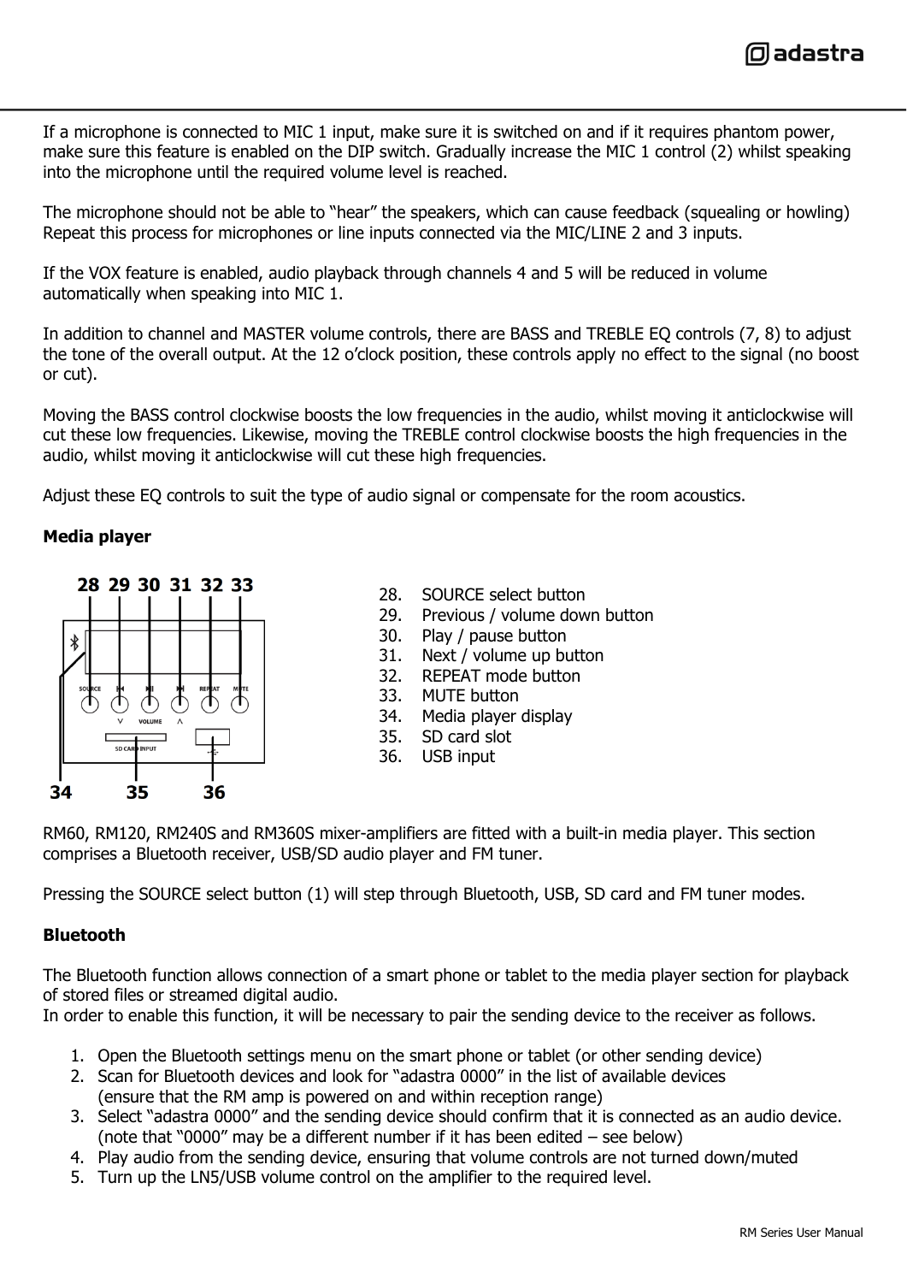

If a microphone is connected to MIC 1 input, make sure it is switched on and if it requires phantom power, make sure this feature is enabled on the DIP switch. Gradually increase the MIC 1 control (2) whilst speaking into the microphone until the required volume level is reached.

The microphone should not be able to "hear" the speakers, which can cause feedback (squealing or howling) Repeat this process for microphones or line inputs connected via the MIC/LINE 2 and 3 inputs.

If the VOX feature is enabled, audio playback through channels 4 and 5 will be reduced in volume automatically when speaking into MIC 1.

In addition to channel and MASTER volume controls, there are BASS and TREBLE EQ controls (7, 8) to adjust the tone of the overall output. At the 12 o'clock position, these controls apply no effect to the signal (no boost or cut).

Moving the BASS control clockwise boosts the low frequencies in the audio, whilst moving it anticlockwise will cut these low frequencies. Likewise, moving the TREBLE control clockwise boosts the high frequencies in the audio, whilst moving it anticlockwise will cut these high frequencies.

Adjust these EQ controls to suit the type of audio signal or compensate for the room acoustics.

#### **Media player**



- 28. SOURCE select button
- 29. Previous / volume down button
- 30. Play / pause button
- 31. Next / volume up button
- 32. REPEAT mode button
- 33. MUTE button
- 34. Media player display
- 35. SD card slot
- 36. USB input

RM60, RM120, RM240S and RM360S mixer-amplifiers are fitted with a built-in media player. This section comprises a Bluetooth receiver, USB/SD audio player and FM tuner.

Pressing the SOURCE select button (1) will step through Bluetooth, USB, SD card and FM tuner modes.

#### **Bluetooth**

The Bluetooth function allows connection of a smart phone or tablet to the media player section for playback of stored files or streamed digital audio.

In order to enable this function, it will be necessary to pair the sending device to the receiver as follows.

- 1. Open the Bluetooth settings menu on the smart phone or tablet (or other sending device)
- 2. Scan for Bluetooth devices and look for "adastra 0000" in the list of available devices (ensure that the RM amp is powered on and within reception range)
- 3. Select "adastra 0000" and the sending device should confirm that it is connected as an audio device. (note that "0000" may be a different number if it has been edited – see below)
- 4. Play audio from the sending device, ensuring that volume controls are not turned down/muted
- 5. Turn up the LN5/USB volume control on the amplifier to the required level.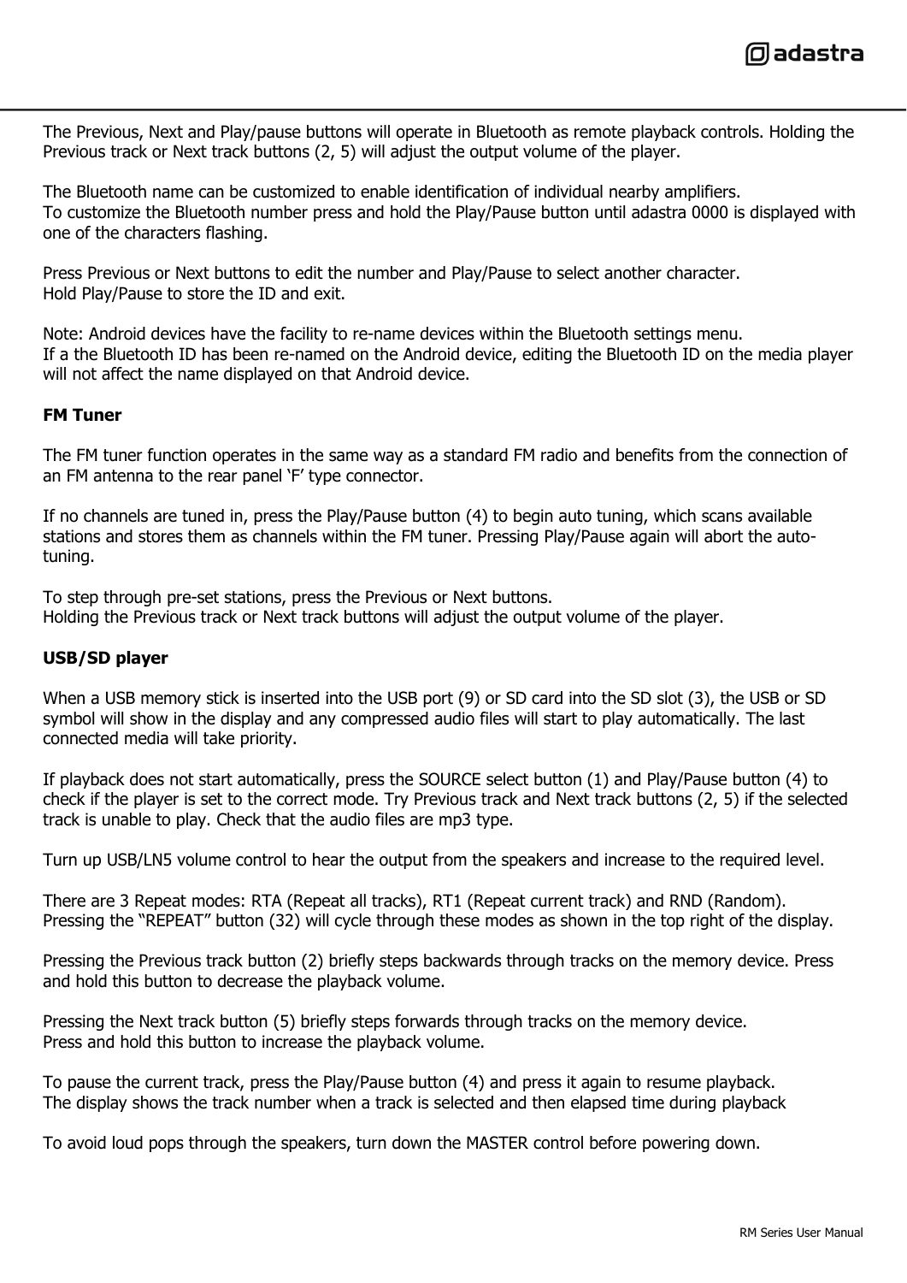The Previous, Next and Play/pause buttons will operate in Bluetooth as remote playback controls. Holding the Previous track or Next track buttons (2, 5) will adjust the output volume of the player.

The Bluetooth name can be customized to enable identification of individual nearby amplifiers. To customize the Bluetooth number press and hold the Play/Pause button until adastra 0000 is displayed with one of the characters flashing.

Press Previous or Next buttons to edit the number and Play/Pause to select another character. Hold Play/Pause to store the ID and exit.

Note: Android devices have the facility to re-name devices within the Bluetooth settings menu. If a the Bluetooth ID has been re-named on the Android device, editing the Bluetooth ID on the media player will not affect the name displayed on that Android device.

#### **FM Tuner**

The FM tuner function operates in the same way as a standard FM radio and benefits from the connection of an FM antenna to the rear panel 'F' type connector.

If no channels are tuned in, press the Play/Pause button (4) to begin auto tuning, which scans available stations and stores them as channels within the FM tuner. Pressing Play/Pause again will abort the autotuning.

To step through pre-set stations, press the Previous or Next buttons. Holding the Previous track or Next track buttons will adjust the output volume of the player.

#### **USB/SD player**

When a USB memory stick is inserted into the USB port (9) or SD card into the SD slot (3), the USB or SD symbol will show in the display and any compressed audio files will start to play automatically. The last connected media will take priority.

If playback does not start automatically, press the SOURCE select button (1) and Play/Pause button (4) to check if the player is set to the correct mode. Try Previous track and Next track buttons (2, 5) if the selected track is unable to play. Check that the audio files are mp3 type.

Turn up USB/LN5 volume control to hear the output from the speakers and increase to the required level.

There are 3 Repeat modes: RTA (Repeat all tracks), RT1 (Repeat current track) and RND (Random). Pressing the "REPEAT" button (32) will cycle through these modes as shown in the top right of the display.

Pressing the Previous track button (2) briefly steps backwards through tracks on the memory device. Press and hold this button to decrease the playback volume.

Pressing the Next track button (5) briefly steps forwards through tracks on the memory device. Press and hold this button to increase the playback volume.

To pause the current track, press the Play/Pause button (4) and press it again to resume playback. The display shows the track number when a track is selected and then elapsed time during playback

To avoid loud pops through the speakers, turn down the MASTER control before powering down.